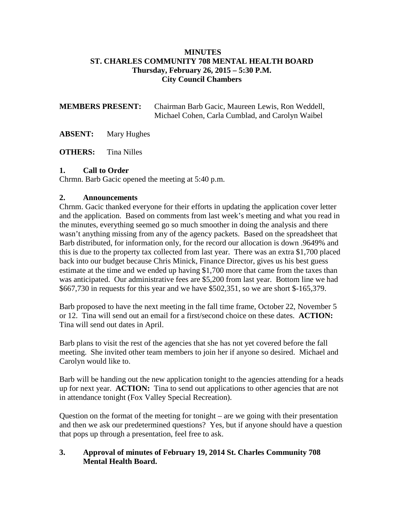### **MINUTES ST. CHARLES COMMUNITY 708 MENTAL HEALTH BOARD Thursday, February 26, 2015 – 5:30 P.M. City Council Chambers**

**MEMBERS PRESENT:** Chairman Barb Gacic, Maureen Lewis, Ron Weddell, Michael Cohen, Carla Cumblad, and Carolyn Waibel

**ABSENT:** Mary Hughes

**OTHERS:** Tina Nilles

### **1. Call to Order**

Chrmn. Barb Gacic opened the meeting at 5:40 p.m.

#### **2. Announcements**

Chrnm. Gacic thanked everyone for their efforts in updating the application cover letter and the application. Based on comments from last week's meeting and what you read in the minutes, everything seemed go so much smoother in doing the analysis and there wasn't anything missing from any of the agency packets. Based on the spreadsheet that Barb distributed, for information only, for the record our allocation is down .9649% and this is due to the property tax collected from last year. There was an extra \$1,700 placed back into our budget because Chris Minick, Finance Director, gives us his best guess estimate at the time and we ended up having \$1,700 more that came from the taxes than was anticipated. Our administrative fees are \$5,200 from last year. Bottom line we had \$667,730 in requests for this year and we have \$502,351, so we are short \$-165,379.

Barb proposed to have the next meeting in the fall time frame, October 22, November 5 or 12. Tina will send out an email for a first/second choice on these dates. **ACTION:** Tina will send out dates in April.

Barb plans to visit the rest of the agencies that she has not yet covered before the fall meeting. She invited other team members to join her if anyone so desired. Michael and Carolyn would like to.

Barb will be handing out the new application tonight to the agencies attending for a heads up for next year. **ACTION:** Tina to send out applications to other agencies that are not in attendance tonight (Fox Valley Special Recreation).

Question on the format of the meeting for tonight – are we going with their presentation and then we ask our predetermined questions? Yes, but if anyone should have a question that pops up through a presentation, feel free to ask.

# **3. Approval of minutes of February 19, 2014 St. Charles Community 708 Mental Health Board.**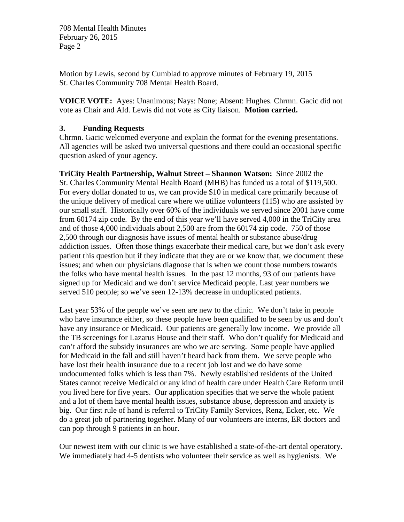Motion by Lewis, second by Cumblad to approve minutes of February 19, 2015 St. Charles Community 708 Mental Health Board.

**VOICE VOTE:** Ayes: Unanimous; Nays: None; Absent: Hughes. Chrmn. Gacic did not vote as Chair and Ald. Lewis did not vote as City liaison. **Motion carried.**

### **3. Funding Requests**

Chrmn. Gacic welcomed everyone and explain the format for the evening presentations. All agencies will be asked two universal questions and there could an occasional specific question asked of your agency.

**TriCity Health Partnership, Walnut Street – Shannon Watson:** Since 2002 the St. Charles Community Mental Health Board (MHB) has funded us a total of \$119,500. For every dollar donated to us, we can provide \$10 in medical care primarily because of the unique delivery of medical care where we utilize volunteers (115) who are assisted by our small staff. Historically over 60% of the individuals we served since 2001 have come from 60174 zip code. By the end of this year we'll have served 4,000 in the TriCity area and of those 4,000 individuals about 2,500 are from the 60174 zip code. 750 of those 2,500 through our diagnosis have issues of mental health or substance abuse/drug addiction issues. Often those things exacerbate their medical care, but we don't ask every patient this question but if they indicate that they are or we know that, we document these issues; and when our physicians diagnose that is when we count those numbers towards the folks who have mental health issues. In the past 12 months, 93 of our patients have signed up for Medicaid and we don't service Medicaid people. Last year numbers we served 510 people; so we've seen 12-13% decrease in unduplicated patients.

Last year 53% of the people we've seen are new to the clinic. We don't take in people who have insurance either, so these people have been qualified to be seen by us and don't have any insurance or Medicaid. Our patients are generally low income. We provide all the TB screenings for Lazarus House and their staff. Who don't qualify for Medicaid and can't afford the subsidy insurances are who we are serving. Some people have applied for Medicaid in the fall and still haven't heard back from them. We serve people who have lost their health insurance due to a recent job lost and we do have some undocumented folks which is less than 7%. Newly established residents of the United States cannot receive Medicaid or any kind of health care under Health Care Reform until you lived here for five years. Our application specifies that we serve the whole patient and a lot of them have mental health issues, substance abuse, depression and anxiety is big. Our first rule of hand is referral to TriCity Family Services, Renz, Ecker, etc. We do a great job of partnering together. Many of our volunteers are interns, ER doctors and can pop through 9 patients in an hour.

Our newest item with our clinic is we have established a state-of-the-art dental operatory. We immediately had 4-5 dentists who volunteer their service as well as hygienists. We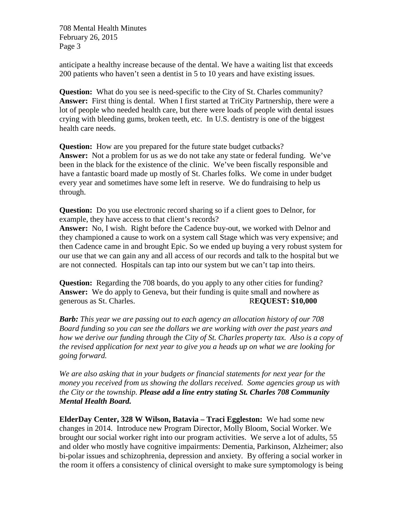anticipate a healthy increase because of the dental. We have a waiting list that exceeds 200 patients who haven't seen a dentist in 5 to 10 years and have existing issues.

**Question:** What do you see is need-specific to the City of St. Charles community? **Answer:** First thing is dental. When I first started at TriCity Partnership, there were a lot of people who needed health care, but there were loads of people with dental issues crying with bleeding gums, broken teeth, etc. In U.S. dentistry is one of the biggest health care needs.

**Question:** How are you prepared for the future state budget cutbacks? **Answer:** Not a problem for us as we do not take any state or federal funding. We've been in the black for the existence of the clinic. We've been fiscally responsible and have a fantastic board made up mostly of St. Charles folks. We come in under budget every year and sometimes have some left in reserve. We do fundraising to help us through.

**Question:** Do you use electronic record sharing so if a client goes to Delnor, for example, they have access to that client's records?

**Answer:** No, I wish. Right before the Cadence buy-out, we worked with Delnor and they championed a cause to work on a system call Stage which was very expensive; and then Cadence came in and brought Epic. So we ended up buying a very robust system for our use that we can gain any and all access of our records and talk to the hospital but we are not connected. Hospitals can tap into our system but we can't tap into theirs.

**Question:** Regarding the 708 boards, do you apply to any other cities for funding? **Answer:** We do apply to Geneva, but their funding is quite small and nowhere as generous as St. Charles. R**EQUEST: \$10,000**

*Barb: This year we are passing out to each agency an allocation history of our 708 Board funding so you can see the dollars we are working with over the past years and how we derive our funding through the City of St. Charles property tax. Also is a copy of the revised application for next year to give you a heads up on what we are looking for going forward.* 

*We are also asking that in your budgets or financial statements for next year for the money you received from us showing the dollars received. Some agencies group us with the City or the township. Please add a line entry stating St. Charles 708 Community Mental Health Board.*

**ElderDay Center, 328 W Wilson, Batavia – Traci Eggleston:** We had some new changes in 2014. Introduce new Program Director, Molly Bloom, Social Worker. We brought our social worker right into our program activities. We serve a lot of adults, 55 and older who mostly have cognitive impairments: Dementia, Parkinson, Alzheimer; also bi-polar issues and schizophrenia, depression and anxiety. By offering a social worker in the room it offers a consistency of clinical oversight to make sure symptomology is being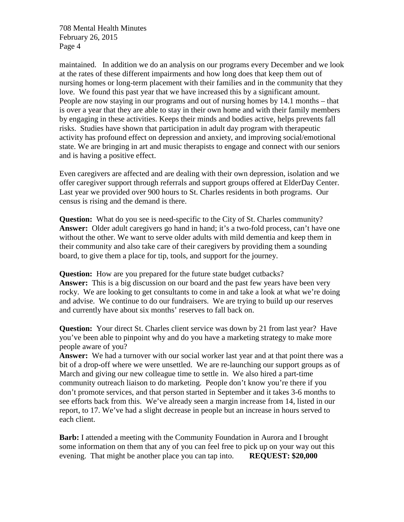maintained. In addition we do an analysis on our programs every December and we look at the rates of these different impairments and how long does that keep them out of nursing homes or long-term placement with their families and in the community that they love. We found this past year that we have increased this by a significant amount. People are now staying in our programs and out of nursing homes by 14.1 months – that is over a year that they are able to stay in their own home and with their family members by engaging in these activities. Keeps their minds and bodies active, helps prevents fall risks. Studies have shown that participation in adult day program with therapeutic activity has profound effect on depression and anxiety, and improving social/emotional state. We are bringing in art and music therapists to engage and connect with our seniors and is having a positive effect.

Even caregivers are affected and are dealing with their own depression, isolation and we offer caregiver support through referrals and support groups offered at ElderDay Center. Last year we provided over 900 hours to St. Charles residents in both programs. Our census is rising and the demand is there.

**Question:** What do you see is need-specific to the City of St. Charles community? Answer: Older adult caregivers go hand in hand; it's a two-fold process, can't have one without the other. We want to serve older adults with mild dementia and keep them in their community and also take care of their caregivers by providing them a sounding board, to give them a place for tip, tools, and support for the journey.

**Question:** How are you prepared for the future state budget cutbacks? **Answer:** This is a big discussion on our board and the past few years have been very rocky. We are looking to get consultants to come in and take a look at what we're doing and advise. We continue to do our fundraisers. We are trying to build up our reserves and currently have about six months' reserves to fall back on.

**Question:** Your direct St. Charles client service was down by 21 from last year? Have you've been able to pinpoint why and do you have a marketing strategy to make more people aware of you?

**Answer:** We had a turnover with our social worker last year and at that point there was a bit of a drop-off where we were unsettled. We are re-launching our support groups as of March and giving our new colleague time to settle in. We also hired a part-time community outreach liaison to do marketing. People don't know you're there if you don't promote services, and that person started in September and it takes 3-6 months to see efforts back from this. We've already seen a margin increase from 14, listed in our report, to 17. We've had a slight decrease in people but an increase in hours served to each client.

**Barb:** I attended a meeting with the Community Foundation in Aurora and I brought some information on them that any of you can feel free to pick up on your way out this evening. That might be another place you can tap into. **REQUEST: \$20,000**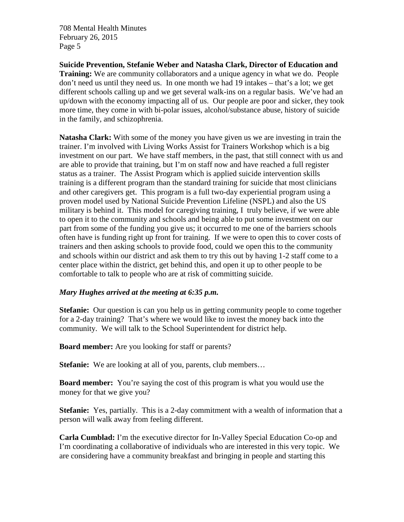**Suicide Prevention, Stefanie Weber and Natasha Clark, Director of Education and Training:** We are community collaborators and a unique agency in what we do. People don't need us until they need us. In one month we had 19 intakes – that's a lot; we get different schools calling up and we get several walk-ins on a regular basis. We've had an up/down with the economy impacting all of us. Our people are poor and sicker, they took more time, they come in with bi-polar issues, alcohol/substance abuse, history of suicide in the family, and schizophrenia.

**Natasha Clark:** With some of the money you have given us we are investing in train the trainer. I'm involved with Living Works Assist for Trainers Workshop which is a big investment on our part. We have staff members, in the past, that still connect with us and are able to provide that training, but I'm on staff now and have reached a full register status as a trainer. The Assist Program which is applied suicide intervention skills training is a different program than the standard training for suicide that most clinicians and other caregivers get. This program is a full two-day experiential program using a proven model used by National Suicide Prevention Lifeline (NSPL) and also the US military is behind it. This model for caregiving training, I truly believe, if we were able to open it to the community and schools and being able to put some investment on our part from some of the funding you give us; it occurred to me one of the barriers schools often have is funding right up front for training. If we were to open this to cover costs of trainers and then asking schools to provide food, could we open this to the community and schools within our district and ask them to try this out by having 1-2 staff come to a center place within the district, get behind this, and open it up to other people to be comfortable to talk to people who are at risk of committing suicide.

# *Mary Hughes arrived at the meeting at 6:35 p.m.*

**Stefanie:** Our question is can you help us in getting community people to come together for a 2-day training? That's where we would like to invest the money back into the community. We will talk to the School Superintendent for district help.

**Board member:** Are you looking for staff or parents?

**Stefanie:** We are looking at all of you, parents, club members...

**Board member:** You're saying the cost of this program is what you would use the money for that we give you?

**Stefanie:** Yes, partially. This is a 2-day commitment with a wealth of information that a person will walk away from feeling different.

**Carla Cumblad:** I'm the executive director for In-Valley Special Education Co-op and I'm coordinating a collaborative of individuals who are interested in this very topic. We are considering have a community breakfast and bringing in people and starting this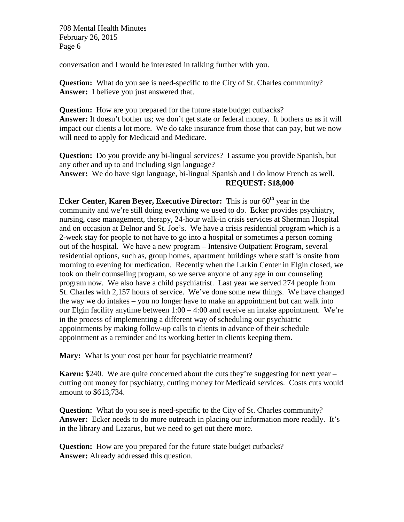conversation and I would be interested in talking further with you.

**Question:** What do you see is need-specific to the City of St. Charles community? **Answer:** I believe you just answered that.

**Question:** How are you prepared for the future state budget cutbacks? **Answer:** It doesn't bother us; we don't get state or federal money. It bothers us as it will impact our clients a lot more. We do take insurance from those that can pay, but we now will need to apply for Medicaid and Medicare.

**Question:** Do you provide any bi-lingual services? I assume you provide Spanish, but any other and up to and including sign language? **Answer:** We do have sign language, bi-lingual Spanish and I do know French as well. **REQUEST: \$18,000**

**Ecker Center, Karen Beyer, Executive Director:** This is our 60<sup>th</sup> year in the community and we're still doing everything we used to do. Ecker provides psychiatry, nursing, case management, therapy, 24-hour walk-in crisis services at Sherman Hospital and on occasion at Delnor and St. Joe's. We have a crisis residential program which is a 2-week stay for people to not have to go into a hospital or sometimes a person coming out of the hospital. We have a new program – Intensive Outpatient Program, several residential options, such as, group homes, apartment buildings where staff is onsite from morning to evening for medication. Recently when the Larkin Center in Elgin closed, we took on their counseling program, so we serve anyone of any age in our counseling program now. We also have a child psychiatrist. Last year we served 274 people from St. Charles with 2,157 hours of service. We've done some new things. We have changed the way we do intakes – you no longer have to make an appointment but can walk into our Elgin facility anytime between  $1:00 - 4:00$  and receive an intake appointment. We're in the process of implementing a different way of scheduling our psychiatric appointments by making follow-up calls to clients in advance of their schedule appointment as a reminder and its working better in clients keeping them.

**Mary:** What is your cost per hour for psychiatric treatment?

**Karen:** \$240. We are quite concerned about the cuts they're suggesting for next year – cutting out money for psychiatry, cutting money for Medicaid services. Costs cuts would amount to \$613,734.

**Question:** What do you see is need-specific to the City of St. Charles community? **Answer:** Ecker needs to do more outreach in placing our information more readily. It's in the library and Lazarus, but we need to get out there more.

**Question:** How are you prepared for the future state budget cutbacks? **Answer:** Already addressed this question.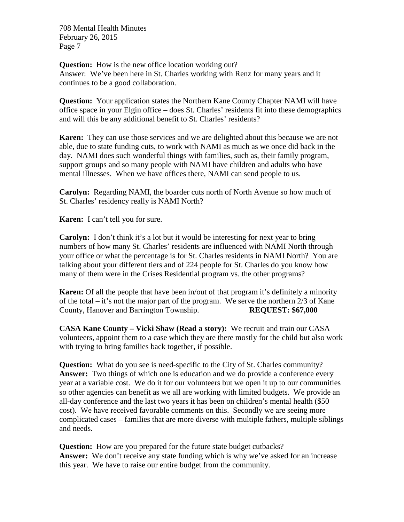**Question:** How is the new office location working out? Answer: We've been here in St. Charles working with Renz for many years and it continues to be a good collaboration.

**Question:** Your application states the Northern Kane County Chapter NAMI will have office space in your Elgin office – does St. Charles' residents fit into these demographics and will this be any additional benefit to St. Charles' residents?

**Karen:** They can use those services and we are delighted about this because we are not able, due to state funding cuts, to work with NAMI as much as we once did back in the day. NAMI does such wonderful things with families, such as, their family program, support groups and so many people with NAMI have children and adults who have mental illnesses. When we have offices there, NAMI can send people to us.

**Carolyn:** Regarding NAMI, the boarder cuts north of North Avenue so how much of St. Charles' residency really is NAMI North?

**Karen:** I can't tell you for sure.

**Carolyn:** I don't think it's a lot but it would be interesting for next year to bring numbers of how many St. Charles' residents are influenced with NAMI North through your office or what the percentage is for St. Charles residents in NAMI North? You are talking about your different tiers and of 224 people for St. Charles do you know how many of them were in the Crises Residential program vs. the other programs?

**Karen:** Of all the people that have been in/out of that program it's definitely a minority of the total – it's not the major part of the program. We serve the northern 2/3 of Kane County, Hanover and Barrington Township. **REQUEST: \$67,000**

**CASA Kane County – Vicki Shaw (Read a story):** We recruit and train our CASA volunteers, appoint them to a case which they are there mostly for the child but also work with trying to bring families back together, if possible.

**Question:** What do you see is need-specific to the City of St. Charles community? **Answer:** Two things of which one is education and we do provide a conference every year at a variable cost. We do it for our volunteers but we open it up to our communities so other agencies can benefit as we all are working with limited budgets. We provide an all-day conference and the last two years it has been on children's mental health (\$50 cost). We have received favorable comments on this. Secondly we are seeing more complicated cases – families that are more diverse with multiple fathers, multiple siblings and needs.

**Question:** How are you prepared for the future state budget cutbacks? **Answer:** We don't receive any state funding which is why we've asked for an increase this year. We have to raise our entire budget from the community.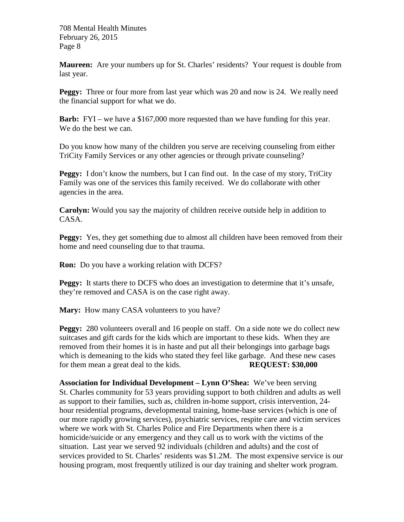**Maureen:** Are your numbers up for St. Charles' residents? Your request is double from last year.

**Peggy:** Three or four more from last year which was 20 and now is 24. We really need the financial support for what we do.

**Barb:** FYI – we have a \$167,000 more requested than we have funding for this year. We do the best we can.

Do you know how many of the children you serve are receiving counseling from either TriCity Family Services or any other agencies or through private counseling?

**Peggy:** I don't know the numbers, but I can find out. In the case of my story, TriCity Family was one of the services this family received. We do collaborate with other agencies in the area.

**Carolyn:** Would you say the majority of children receive outside help in addition to CASA.

**Peggy:** Yes, they get something due to almost all children have been removed from their home and need counseling due to that trauma.

**Ron:** Do you have a working relation with DCFS?

**Peggy:** It starts there to DCFS who does an investigation to determine that it's unsafe, they're removed and CASA is on the case right away.

**Mary:** How many CASA volunteers to you have?

**Peggy:** 280 volunteers overall and 16 people on staff. On a side note we do collect new suitcases and gift cards for the kids which are important to these kids. When they are removed from their homes it is in haste and put all their belongings into garbage bags which is demeaning to the kids who stated they feel like garbage. And these new cases for them mean a great deal to the kids. **REQUEST: \$30,000**

**Association for Individual Development – Lynn O'Shea:** We've been serving St. Charles community for 53 years providing support to both children and adults as well as support to their families, such as, children in-home support, crisis intervention, 24 hour residential programs, developmental training, home-base services (which is one of our more rapidly growing services), psychiatric services, respite care and victim services where we work with St. Charles Police and Fire Departments when there is a homicide/suicide or any emergency and they call us to work with the victims of the situation. Last year we served 92 individuals (children and adults) and the cost of services provided to St. Charles' residents was \$1.2M. The most expensive service is our housing program, most frequently utilized is our day training and shelter work program.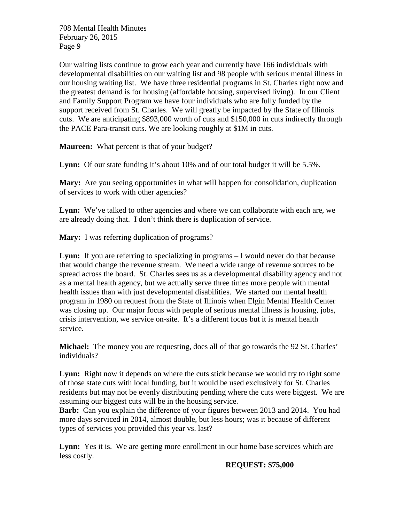Our waiting lists continue to grow each year and currently have 166 individuals with developmental disabilities on our waiting list and 98 people with serious mental illness in our housing waiting list. We have three residential programs in St. Charles right now and the greatest demand is for housing (affordable housing, supervised living). In our Client and Family Support Program we have four individuals who are fully funded by the support received from St. Charles. We will greatly be impacted by the State of Illinois cuts. We are anticipating \$893,000 worth of cuts and \$150,000 in cuts indirectly through the PACE Para-transit cuts. We are looking roughly at \$1M in cuts.

**Maureen:** What percent is that of your budget?

**Lynn:** Of our state funding it's about 10% and of our total budget it will be 5.5%.

**Mary:** Are you seeing opportunities in what will happen for consolidation, duplication of services to work with other agencies?

Lynn: We've talked to other agencies and where we can collaborate with each are, we are already doing that. I don't think there is duplication of service.

Mary: I was referring duplication of programs?

Lynn: If you are referring to specializing in programs – I would never do that because that would change the revenue stream. We need a wide range of revenue sources to be spread across the board. St. Charles sees us as a developmental disability agency and not as a mental health agency, but we actually serve three times more people with mental health issues than with just developmental disabilities. We started our mental health program in 1980 on request from the State of Illinois when Elgin Mental Health Center was closing up. Our major focus with people of serious mental illness is housing, jobs, crisis intervention, we service on-site. It's a different focus but it is mental health service.

**Michael:** The money you are requesting, does all of that go towards the 92 St. Charles' individuals?

**Lynn:** Right now it depends on where the cuts stick because we would try to right some of those state cuts with local funding, but it would be used exclusively for St. Charles residents but may not be evenly distributing pending where the cuts were biggest. We are assuming our biggest cuts will be in the housing service.

**Barb:** Can you explain the difference of your figures between 2013 and 2014. You had more days serviced in 2014, almost double, but less hours; was it because of different types of services you provided this year vs. last?

**Lynn:** Yes it is. We are getting more enrollment in our home base services which are less costly.

**REQUEST: \$75,000**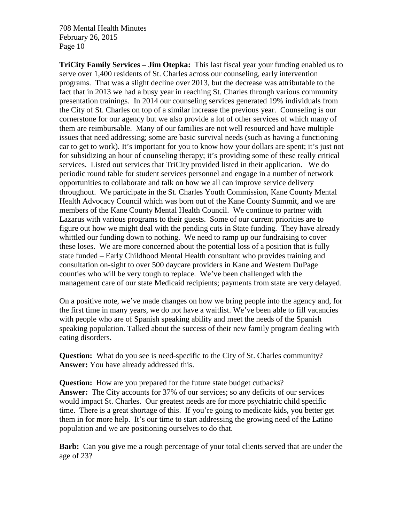**TriCity Family Services – Jim Otepka:** This last fiscal year your funding enabled us to serve over 1,400 residents of St. Charles across our counseling, early intervention programs. That was a slight decline over 2013, but the decrease was attributable to the fact that in 2013 we had a busy year in reaching St. Charles through various community presentation trainings. In 2014 our counseling services generated 19% individuals from the City of St. Charles on top of a similar increase the previous year. Counseling is our cornerstone for our agency but we also provide a lot of other services of which many of them are reimbursable. Many of our families are not well resourced and have multiple issues that need addressing; some are basic survival needs (such as having a functioning car to get to work). It's important for you to know how your dollars are spent; it's just not for subsidizing an hour of counseling therapy; it's providing some of these really critical services. Listed out services that TriCity provided listed in their application. We do periodic round table for student services personnel and engage in a number of network opportunities to collaborate and talk on how we all can improve service delivery throughout. We participate in the St. Charles Youth Commission, Kane County Mental Health Advocacy Council which was born out of the Kane County Summit, and we are members of the Kane County Mental Health Council. We continue to partner with Lazarus with various programs to their guests. Some of our current priorities are to figure out how we might deal with the pending cuts in State funding. They have already whittled our funding down to nothing. We need to ramp up our fundraising to cover these loses. We are more concerned about the potential loss of a position that is fully state funded – Early Childhood Mental Health consultant who provides training and consultation on-sight to over 500 daycare providers in Kane and Western DuPage counties who will be very tough to replace. We've been challenged with the management care of our state Medicaid recipients; payments from state are very delayed.

On a positive note, we've made changes on how we bring people into the agency and, for the first time in many years, we do not have a waitlist. We've been able to fill vacancies with people who are of Spanish speaking ability and meet the needs of the Spanish speaking population. Talked about the success of their new family program dealing with eating disorders.

**Question:** What do you see is need-specific to the City of St. Charles community? **Answer:** You have already addressed this.

**Question:** How are you prepared for the future state budget cutbacks? **Answer:** The City accounts for 37% of our services; so any deficits of our services would impact St. Charles. Our greatest needs are for more psychiatric child specific time. There is a great shortage of this. If you're going to medicate kids, you better get them in for more help. It's our time to start addressing the growing need of the Latino population and we are positioning ourselves to do that.

**Barb:** Can you give me a rough percentage of your total clients served that are under the age of 23?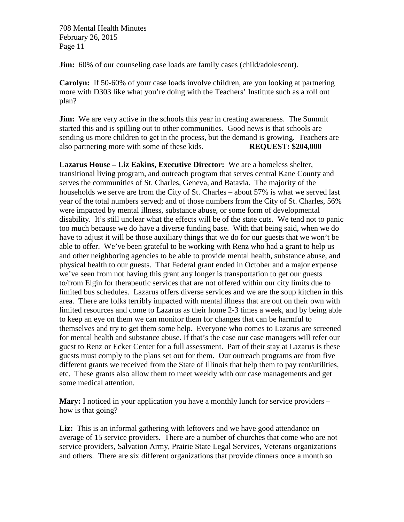**Jim:** 60% of our counseling case loads are family cases (child/adolescent).

**Carolyn:** If 50-60% of your case loads involve children, are you looking at partnering more with D303 like what you're doing with the Teachers' Institute such as a roll out plan?

**Jim:** We are very active in the schools this year in creating awareness. The Summit started this and is spilling out to other communities. Good news is that schools are sending us more children to get in the process, but the demand is growing. Teachers are also partnering more with some of these kids. **REQUEST: \$204,000**

**Lazarus House – Liz Eakins, Executive Director:** We are a homeless shelter, transitional living program, and outreach program that serves central Kane County and serves the communities of St. Charles, Geneva, and Batavia. The majority of the households we serve are from the City of St. Charles – about 57% is what we served last year of the total numbers served; and of those numbers from the City of St. Charles, 56% were impacted by mental illness, substance abuse, or some form of developmental disability. It's still unclear what the effects will be of the state cuts. We tend not to panic too much because we do have a diverse funding base. With that being said, when we do have to adjust it will be those auxiliary things that we do for our guests that we won't be able to offer. We've been grateful to be working with Renz who had a grant to help us and other neighboring agencies to be able to provide mental health, substance abuse, and physical health to our guests. That Federal grant ended in October and a major expense we've seen from not having this grant any longer is transportation to get our guests to/from Elgin for therapeutic services that are not offered within our city limits due to limited bus schedules. Lazarus offers diverse services and we are the soup kitchen in this area. There are folks terribly impacted with mental illness that are out on their own with limited resources and come to Lazarus as their home 2-3 times a week, and by being able to keep an eye on them we can monitor them for changes that can be harmful to themselves and try to get them some help. Everyone who comes to Lazarus are screened for mental health and substance abuse. If that's the case our case managers will refer our guest to Renz or Ecker Center for a full assessment. Part of their stay at Lazarus is these guests must comply to the plans set out for them. Our outreach programs are from five different grants we received from the State of Illinois that help them to pay rent/utilities, etc. These grants also allow them to meet weekly with our case managements and get some medical attention.

**Mary:** I noticed in your application you have a monthly lunch for service providers – how is that going?

**Liz:** This is an informal gathering with leftovers and we have good attendance on average of 15 service providers. There are a number of churches that come who are not service providers, Salvation Army, Prairie State Legal Services, Veterans organizations and others. There are six different organizations that provide dinners once a month so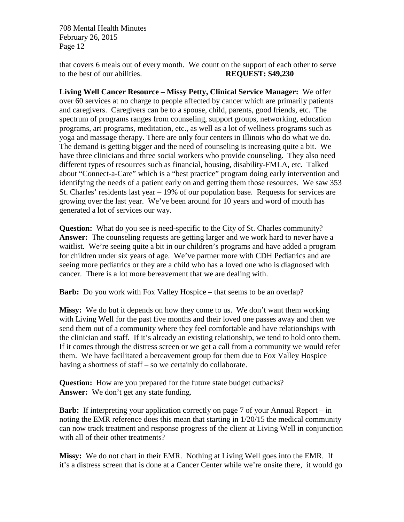that covers 6 meals out of every month. We count on the support of each other to serve to the best of our abilities. **REQUEST: \$49,230**

**Living Well Cancer Resource – Missy Petty, Clinical Service Manager:** We offer over 60 services at no charge to people affected by cancer which are primarily patients and caregivers. Caregivers can be to a spouse, child, parents, good friends, etc. The spectrum of programs ranges from counseling, support groups, networking, education programs, art programs, meditation, etc., as well as a lot of wellness programs such as yoga and massage therapy. There are only four centers in Illinois who do what we do. The demand is getting bigger and the need of counseling is increasing quite a bit. We have three clinicians and three social workers who provide counseling. They also need different types of resources such as financial, housing, disability-FMLA, etc. Talked about "Connect-a-Care" which is a "best practice" program doing early intervention and identifying the needs of a patient early on and getting them those resources. We saw 353 St. Charles' residents last year – 19% of our population base. Requests for services are growing over the last year. We've been around for 10 years and word of mouth has generated a lot of services our way.

**Question:** What do you see is need-specific to the City of St. Charles community? **Answer:** The counseling requests are getting larger and we work hard to never have a waitlist. We're seeing quite a bit in our children's programs and have added a program for children under six years of age. We've partner more with CDH Pediatrics and are seeing more pediatrics or they are a child who has a loved one who is diagnosed with cancer. There is a lot more bereavement that we are dealing with.

**Barb:** Do you work with Fox Valley Hospice – that seems to be an overlap?

**Missy:** We do but it depends on how they come to us. We don't want them working with Living Well for the past five months and their loved one passes away and then we send them out of a community where they feel comfortable and have relationships with the clinician and staff. If it's already an existing relationship, we tend to hold onto them. If it comes through the distress screen or we get a call from a community we would refer them. We have facilitated a bereavement group for them due to Fox Valley Hospice having a shortness of staff – so we certainly do collaborate.

**Question:** How are you prepared for the future state budget cutbacks? **Answer:** We don't get any state funding.

**Barb:** If interpreting your application correctly on page 7 of your Annual Report – in noting the EMR reference does this mean that starting in 1/20/15 the medical community can now track treatment and response progress of the client at Living Well in conjunction with all of their other treatments?

**Missy:** We do not chart in their EMR. Nothing at Living Well goes into the EMR. If it's a distress screen that is done at a Cancer Center while we're onsite there, it would go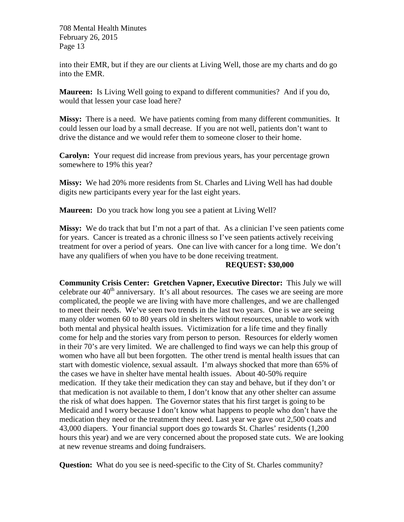into their EMR, but if they are our clients at Living Well, those are my charts and do go into the EMR.

**Maureen:** Is Living Well going to expand to different communities? And if you do, would that lessen your case load here?

**Missy:** There is a need. We have patients coming from many different communities. It could lessen our load by a small decrease. If you are not well, patients don't want to drive the distance and we would refer them to someone closer to their home.

**Carolyn:** Your request did increase from previous years, has your percentage grown somewhere to 19% this year?

**Missy:** We had 20% more residents from St. Charles and Living Well has had double digits new participants every year for the last eight years.

**Maureen:** Do you track how long you see a patient at Living Well?

**Missy:** We do track that but I'm not a part of that. As a clinician I've seen patients come for years. Cancer is treated as a chronic illness so I've seen patients actively receiving treatment for over a period of years. One can live with cancer for a long time. We don't have any qualifiers of when you have to be done receiving treatment.

#### **REQUEST: \$30,000**

**Community Crisis Center: Gretchen Vapner, Executive Director:** This July we will celebrate our  $40<sup>th</sup>$  anniversary. It's all about resources. The cases we are seeing are more complicated, the people we are living with have more challenges, and we are challenged to meet their needs. We've seen two trends in the last two years. One is we are seeing many older women 60 to 80 years old in shelters without resources, unable to work with both mental and physical health issues. Victimization for a life time and they finally come for help and the stories vary from person to person. Resources for elderly women in their 70's are very limited. We are challenged to find ways we can help this group of women who have all but been forgotten. The other trend is mental health issues that can start with domestic violence, sexual assault. I'm always shocked that more than 65% of the cases we have in shelter have mental health issues. About 40-50% require medication. If they take their medication they can stay and behave, but if they don't or that medication is not available to them, I don't know that any other shelter can assume the risk of what does happen. The Governor states that his first target is going to be Medicaid and I worry because I don't know what happens to people who don't have the medication they need or the treatment they need. Last year we gave out 2,500 coats and 43,000 diapers. Your financial support does go towards St. Charles' residents (1,200 hours this year) and we are very concerned about the proposed state cuts. We are looking at new revenue streams and doing fundraisers.

**Question:** What do you see is need-specific to the City of St. Charles community?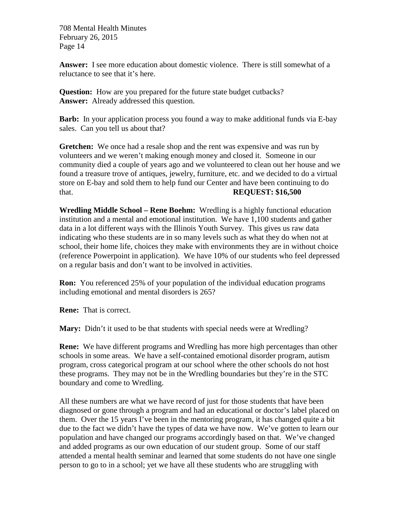**Answer:** I see more education about domestic violence. There is still somewhat of a reluctance to see that it's here.

**Question:** How are you prepared for the future state budget cutbacks? **Answer:** Already addressed this question.

**Barb:** In your application process you found a way to make additional funds via E-bay sales. Can you tell us about that?

**Gretchen:** We once had a resale shop and the rent was expensive and was run by volunteers and we weren't making enough money and closed it. Someone in our community died a couple of years ago and we volunteered to clean out her house and we found a treasure trove of antiques, jewelry, furniture, etc. and we decided to do a virtual store on E-bay and sold them to help fund our Center and have been continuing to do that. **REQUEST: \$16,500**

**Wredling Middle School – Rene Boehm:** Wredling is a highly functional education institution and a mental and emotional institution. We have 1,100 students and gather data in a lot different ways with the Illinois Youth Survey. This gives us raw data indicating who these students are in so many levels such as what they do when not at school, their home life, choices they make with environments they are in without choice (reference Powerpoint in application). We have 10% of our students who feel depressed on a regular basis and don't want to be involved in activities.

**Ron:** You referenced 25% of your population of the individual education programs including emotional and mental disorders is 265?

**Rene:** That is correct.

**Mary:** Didn't it used to be that students with special needs were at Wredling?

**Rene:** We have different programs and Wredling has more high percentages than other schools in some areas. We have a self-contained emotional disorder program, autism program, cross categorical program at our school where the other schools do not host these programs. They may not be in the Wredling boundaries but they're in the STC boundary and come to Wredling.

All these numbers are what we have record of just for those students that have been diagnosed or gone through a program and had an educational or doctor's label placed on them. Over the 15 years I've been in the mentoring program, it has changed quite a bit due to the fact we didn't have the types of data we have now. We've gotten to learn our population and have changed our programs accordingly based on that. We've changed and added programs as our own education of our student group. Some of our staff attended a mental health seminar and learned that some students do not have one single person to go to in a school; yet we have all these students who are struggling with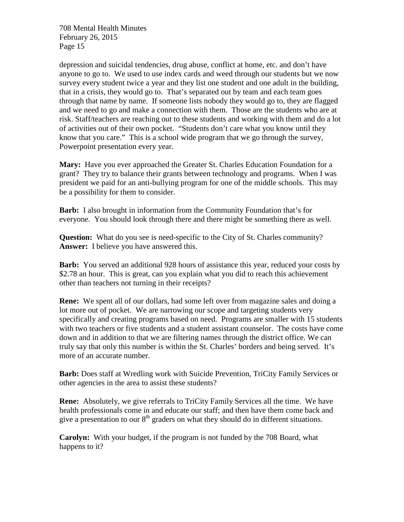depression and suicidal tendencies, drug abuse, conflict at home, etc. and don't have anyone to go to. We used to use index cards and weed through our students but we now survey every student twice a year and they list one student and one adult in the building, that in a crisis, they would go to. That's separated out by team and each team goes through that name by name. If someone lists nobody they would go to, they are flagged and we need to go and make a connection with them. Those are the students who are at risk. Staff/teachers are reaching out to these students and working with them and do a lot of activities out of their own pocket. "Students don't care what you know until they know that you care." This is a school wide program that we go through the survey, Powerpoint presentation every year.

**Mary:** Have you ever approached the Greater St. Charles Education Foundation for a grant? They try to balance their grants between technology and programs. When I was president we paid for an anti-bullying program for one of the middle schools. This may be a possibility for them to consider.

**Barb:** I also brought in information from the Community Foundation that's for everyone. You should look through there and there might be something there as well.

**Question:** What do you see is need-specific to the City of St. Charles community? **Answer:** I believe you have answered this.

**Barb:** You served an additional 928 hours of assistance this year, reduced your costs by \$2.78 an hour. This is great, can you explain what you did to reach this achievement other than teachers not turning in their receipts?

**Rene:** We spent all of our dollars, had some left over from magazine sales and doing a lot more out of pocket. We are narrowing our scope and targeting students very specifically and creating programs based on need. Programs are smaller with 15 students with two teachers or five students and a student assistant counselor. The costs have come down and in addition to that we are filtering names through the district office. We can truly say that only this number is within the St. Charles' borders and being served. It's more of an accurate number.

**Barb:** Does staff at Wredling work with Suicide Prevention, TriCity Family Services or other agencies in the area to assist these students?

**Rene:** Absolutely, we give referrals to TriCity Family Services all the time. We have health professionals come in and educate our staff; and then have them come back and give a presentation to our  $8<sup>th</sup>$  graders on what they should do in different situations.

**Carolyn:** With your budget, if the program is not funded by the 708 Board, what happens to it?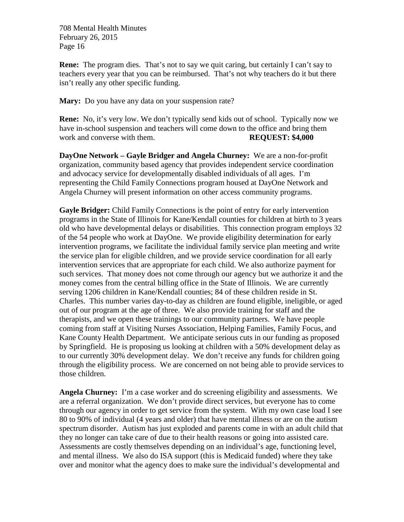**Rene:** The program dies. That's not to say we quit caring, but certainly I can't say to teachers every year that you can be reimbursed. That's not why teachers do it but there isn't really any other specific funding.

**Mary:** Do you have any data on your suspension rate?

**Rene:** No, it's very low. We don't typically send kids out of school. Typically now we have in-school suspension and teachers will come down to the office and bring them work and converse with them. **REQUEST: \$4,000**

**DayOne Network – Gayle Bridger and Angela Churney:** We are a non-for-profit organization, community based agency that provides independent service coordination and advocacy service for developmentally disabled individuals of all ages. I'm representing the Child Family Connections program housed at DayOne Network and Angela Churney will present information on other access community programs.

**Gayle Bridger:** Child Family Connections is the point of entry for early intervention programs in the State of Illinois for Kane/Kendall counties for children at birth to 3 years old who have developmental delays or disabilities. This connection program employs 32 of the 54 people who work at DayOne. We provide eligibility determination for early intervention programs, we facilitate the individual family service plan meeting and write the service plan for eligible children, and we provide service coordination for all early intervention services that are appropriate for each child. We also authorize payment for such services. That money does not come through our agency but we authorize it and the money comes from the central billing office in the State of Illinois. We are currently serving 1206 children in Kane/Kendall counties; 84 of these children reside in St. Charles. This number varies day-to-day as children are found eligible, ineligible, or aged out of our program at the age of three. We also provide training for staff and the therapists, and we open these trainings to our community partners. We have people coming from staff at Visiting Nurses Association, Helping Families, Family Focus, and Kane County Health Department. We anticipate serious cuts in our funding as proposed by Springfield. He is proposing us looking at children with a 50% development delay as to our currently 30% development delay. We don't receive any funds for children going through the eligibility process. We are concerned on not being able to provide services to those children.

**Angela Churney:** I'm a case worker and do screening eligibility and assessments. We are a referral organization. We don't provide direct services, but everyone has to come through our agency in order to get service from the system. With my own case load I see 80 to 90% of individual (4 years and older) that have mental illness or are on the autism spectrum disorder. Autism has just exploded and parents come in with an adult child that they no longer can take care of due to their health reasons or going into assisted care. Assessments are costly themselves depending on an individual's age, functioning level, and mental illness. We also do ISA support (this is Medicaid funded) where they take over and monitor what the agency does to make sure the individual's developmental and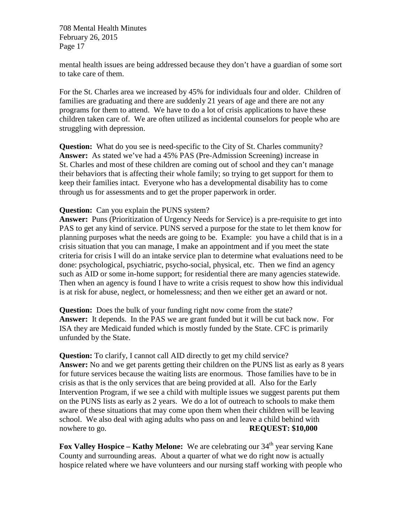mental health issues are being addressed because they don't have a guardian of some sort to take care of them.

For the St. Charles area we increased by 45% for individuals four and older. Children of families are graduating and there are suddenly 21 years of age and there are not any programs for them to attend. We have to do a lot of crisis applications to have these children taken care of. We are often utilized as incidental counselors for people who are struggling with depression.

**Question:** What do you see is need-specific to the City of St. Charles community? **Answer:** As stated we've had a 45% PAS (Pre-Admission Screening) increase in St. Charles and most of these children are coming out of school and they can't manage their behaviors that is affecting their whole family; so trying to get support for them to keep their families intact. Everyone who has a developmental disability has to come through us for assessments and to get the proper paperwork in order.

#### **Question:** Can you explain the PUNS system?

**Answer:** Puns (Prioritization of Urgency Needs for Service) is a pre-requisite to get into PAS to get any kind of service. PUNS served a purpose for the state to let them know for planning purposes what the needs are going to be. Example: you have a child that is in a crisis situation that you can manage, I make an appointment and if you meet the state criteria for crisis I will do an intake service plan to determine what evaluations need to be done: psychological, psychiatric, psycho-social, physical, etc. Then we find an agency such as AID or some in-home support; for residential there are many agencies statewide. Then when an agency is found I have to write a crisis request to show how this individual is at risk for abuse, neglect, or homelessness; and then we either get an award or not.

**Question:** Does the bulk of your funding right now come from the state? **Answer:** It depends. In the PAS we are grant funded but it will be cut back now. For ISA they are Medicaid funded which is mostly funded by the State. CFC is primarily unfunded by the State.

**Question:** To clarify, I cannot call AID directly to get my child service? **Answer:** No and we get parents getting their children on the PUNS list as early as 8 years for future services because the waiting lists are enormous. Those families have to be in crisis as that is the only services that are being provided at all. Also for the Early Intervention Program, if we see a child with multiple issues we suggest parents put them on the PUNS lists as early as 2 years. We do a lot of outreach to schools to make them aware of these situations that may come upon them when their children will be leaving school. We also deal with aging adults who pass on and leave a child behind with nowhere to go. **REQUEST: \$10,000**

**Fox Valley Hospice – Kathy Melone:** We are celebrating our 34<sup>th</sup> year serving Kane County and surrounding areas. About a quarter of what we do right now is actually hospice related where we have volunteers and our nursing staff working with people who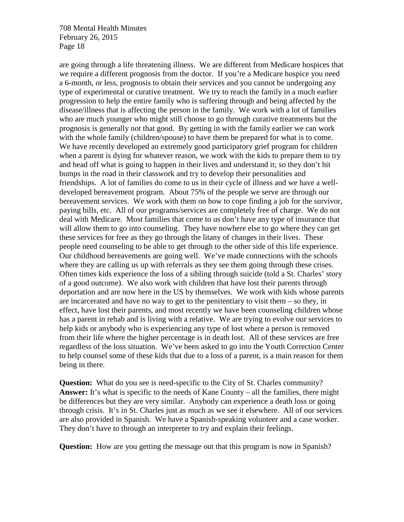are going through a life threatening illness. We are different from Medicare hospices that we require a different prognosis from the doctor. If you're a Medicare hospice you need a 6-month, or less, prognosis to obtain their services and you cannot be undergoing any type of experimental or curative treatment. We try to reach the family in a much earlier progression to help the entire family who is suffering through and being affected by the disease/illness that is affecting the person in the family. We work with a lot of families who are much younger who might still choose to go through curative treatments but the prognosis is generally not that good. By getting in with the family earlier we can work with the whole family (children/spouse) to have them be prepared for what is to come. We have recently developed an extremely good participatory grief program for children when a parent is dying for whatever reason, we work with the kids to prepare them to try and head off what is going to happen in their lives and understand it; so they don't hit bumps in the road in their classwork and try to develop their personalities and friendships. A lot of families do come to us in their cycle of illness and we have a welldeveloped bereavement program. About 75% of the people we serve are through our bereavement services. We work with them on how to cope finding a job for the survivor, paying bills, etc. All of our programs/services are completely free of charge. We do not deal with Medicare. Most families that come to us don't have any type of insurance that will allow them to go into counseling. They have nowhere else to go where they can get these services for free as they go through the litany of changes in their lives. These people need counseling to be able to get through to the other side of this life experience. Our childhood bereavements are going well. We've made connections with the schools where they are calling us up with referrals as they see them going through these crises. Often times kids experience the loss of a sibling through suicide (told a St. Charles' story of a good outcome). We also work with children that have lost their parents through deportation and are now here in the US by themselves. We work with kids whose parents are incarcerated and have no way to get to the penitentiary to visit them – so they, in effect, have lost their parents, and most recently we have been counseling children whose has a parent in rehab and is living with a relative. We are trying to evolve our services to help kids or anybody who is experiencing any type of lost where a person is removed from their life where the higher percentage is in death lost. All of these services are free regardless of the loss situation. We've been asked to go into the Youth Correction Center to help counsel some of these kids that due to a loss of a parent, is a main reason for them being in there.

**Question:** What do you see is need-specific to the City of St. Charles community? **Answer:** It's what is specific to the needs of Kane County – all the families, there might be differences but they are very similar. Anybody can experience a death loss or going through crisis. It's in St. Charles just as much as we see it elsewhere. All of our services are also provided in Spanish. We have a Spanish-speaking volunteer and a case worker. They don't have to through an interpreter to try and explain their feelings.

**Question:** How are you getting the message out that this program is now in Spanish?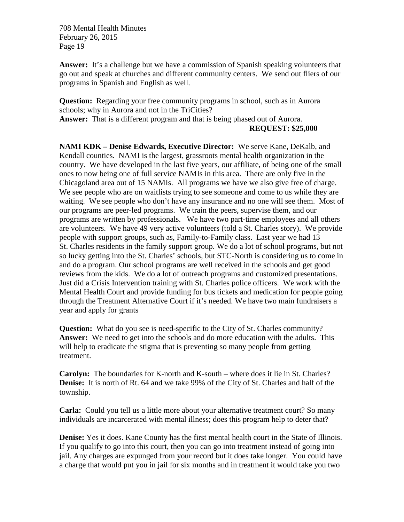**Answer:** It's a challenge but we have a commission of Spanish speaking volunteers that go out and speak at churches and different community centers. We send out fliers of our programs in Spanish and English as well.

**Question:** Regarding your free community programs in school, such as in Aurora schools; why in Aurora and not in the TriCities? **Answer:** That is a different program and that is being phased out of Aurora. **REQUEST: \$25,000**

**NAMI KDK – Denise Edwards, Executive Director:** We serve Kane, DeKalb, and Kendall counties. NAMI is the largest, grassroots mental health organization in the country. We have developed in the last five years, our affiliate, of being one of the small ones to now being one of full service NAMIs in this area. There are only five in the Chicagoland area out of 15 NAMIs. All programs we have we also give free of charge. We see people who are on waitlists trying to see someone and come to us while they are waiting. We see people who don't have any insurance and no one will see them. Most of our programs are peer-led programs. We train the peers, supervise them, and our programs are written by professionals. We have two part-time employees and all others are volunteers. We have 49 very active volunteers (told a St. Charles story). We provide people with support groups, such as, Family-to-Family class. Last year we had 13 St. Charles residents in the family support group. We do a lot of school programs, but not so lucky getting into the St. Charles' schools, but STC-North is considering us to come in and do a program. Our school programs are well received in the schools and get good reviews from the kids. We do a lot of outreach programs and customized presentations. Just did a Crisis Intervention training with St. Charles police officers. We work with the Mental Health Court and provide funding for bus tickets and medication for people going through the Treatment Alternative Court if it's needed. We have two main fundraisers a year and apply for grants

**Question:** What do you see is need-specific to the City of St. Charles community? **Answer:** We need to get into the schools and do more education with the adults. This will help to eradicate the stigma that is preventing so many people from getting treatment.

**Carolyn:** The boundaries for K-north and K-south – where does it lie in St. Charles? **Denise:** It is north of Rt. 64 and we take 99% of the City of St. Charles and half of the township.

**Carla:** Could you tell us a little more about your alternative treatment court? So many individuals are incarcerated with mental illness; does this program help to deter that?

**Denise:** Yes it does. Kane County has the first mental health court in the State of Illinois. If you qualify to go into this court, then you can go into treatment instead of going into jail. Any charges are expunged from your record but it does take longer. You could have a charge that would put you in jail for six months and in treatment it would take you two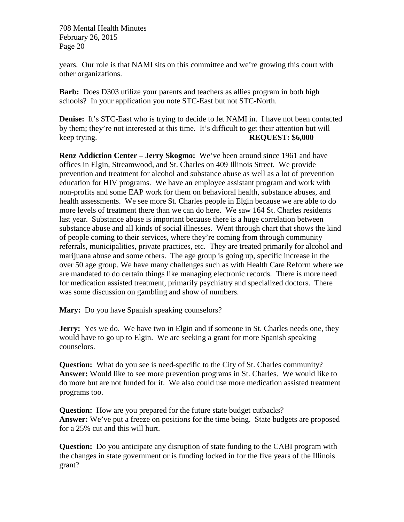years. Our role is that NAMI sits on this committee and we're growing this court with other organizations.

**Barb:** Does D303 utilize your parents and teachers as allies program in both high schools? In your application you note STC-East but not STC-North.

**Denise:** It's STC-East who is trying to decide to let NAMI in. I have not been contacted by them; they're not interested at this time. It's difficult to get their attention but will keep trying. **REQUEST: \$6,000**

**Renz Addiction Center – Jerry Skogmo:** We've been around since 1961 and have offices in Elgin, Streamwood, and St. Charles on 409 Illinois Street. We provide prevention and treatment for alcohol and substance abuse as well as a lot of prevention education for HIV programs. We have an employee assistant program and work with non-profits and some EAP work for them on behavioral health, substance abuses, and health assessments. We see more St. Charles people in Elgin because we are able to do more levels of treatment there than we can do here. We saw 164 St. Charles residents last year. Substance abuse is important because there is a huge correlation between substance abuse and all kinds of social illnesses. Went through chart that shows the kind of people coming to their services, where they're coming from through community referrals, municipalities, private practices, etc. They are treated primarily for alcohol and marijuana abuse and some others. The age group is going up, specific increase in the over 50 age group. We have many challenges such as with Health Care Reform where we are mandated to do certain things like managing electronic records. There is more need for medication assisted treatment, primarily psychiatry and specialized doctors. There was some discussion on gambling and show of numbers.

**Mary:** Do you have Spanish speaking counselors?

**Jerry:** Yes we do. We have two in Elgin and if someone in St. Charles needs one, they would have to go up to Elgin. We are seeking a grant for more Spanish speaking counselors.

**Question:** What do you see is need-specific to the City of St. Charles community? **Answer:** Would like to see more prevention programs in St. Charles. We would like to do more but are not funded for it. We also could use more medication assisted treatment programs too.

**Question:** How are you prepared for the future state budget cutbacks? **Answer:** We've put a freeze on positions for the time being. State budgets are proposed for a 25% cut and this will hurt.

**Question:** Do you anticipate any disruption of state funding to the CABI program with the changes in state government or is funding locked in for the five years of the Illinois grant?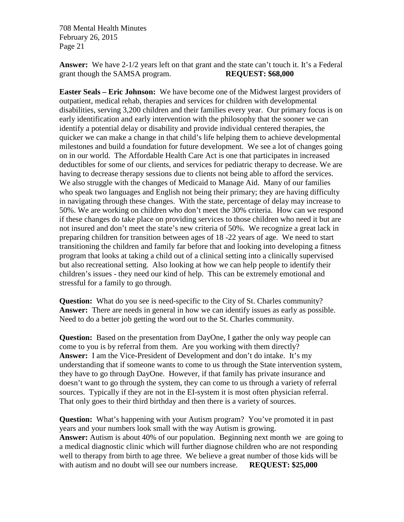**Answer:** We have 2-1/2 years left on that grant and the state can't touch it. It's a Federal grant though the SAMSA program. **REQUEST: \$68,000**

**Easter Seals – Eric Johnson:** We have become one of the Midwest largest providers of outpatient, medical rehab, therapies and services for children with developmental disabilities, serving 3,200 children and their families every year. Our primary focus is on early identification and early intervention with the philosophy that the sooner we can identify a potential delay or disability and provide individual centered therapies, the quicker we can make a change in that child's life helping them to achieve developmental milestones and build a foundation for future development. We see a lot of changes going on in our world. The Affordable Health Care Act is one that participates in increased deductibles for some of our clients, and services for pediatric therapy to decrease. We are having to decrease therapy sessions due to clients not being able to afford the services. We also struggle with the changes of Medicaid to Manage Aid. Many of our families who speak two languages and English not being their primary; they are having difficulty in navigating through these changes. With the state, percentage of delay may increase to 50%. We are working on children who don't meet the 30% criteria. How can we respond if these changes do take place on providing services to those children who need it but are not insured and don't meet the state's new criteria of 50%. We recognize a great lack in preparing children for transition between ages of 18 -22 years of age. We need to start transitioning the children and family far before that and looking into developing a fitness program that looks at taking a child out of a clinical setting into a clinically supervised but also recreational setting. Also looking at how we can help people to identify their children's issues - they need our kind of help. This can be extremely emotional and stressful for a family to go through.

**Question:** What do you see is need-specific to the City of St. Charles community? Answer: There are needs in general in how we can identify issues as early as possible. Need to do a better job getting the word out to the St. Charles community.

**Question:** Based on the presentation from DayOne, I gather the only way people can come to you is by referral from them. Are you working with them directly? **Answer:** I am the Vice-President of Development and don't do intake. It's my understanding that if someone wants to come to us through the State intervention system, they have to go through DayOne. However, if that family has private insurance and doesn't want to go through the system, they can come to us through a variety of referral sources. Typically if they are not in the EI-system it is most often physician referral. That only goes to their third birthday and then there is a variety of sources.

**Question:** What's happening with your Autism program? You've promoted it in past years and your numbers look small with the way Autism is growing. **Answer:** Autism is about 40% of our population. Beginning next month we are going to a medical diagnostic clinic which will further diagnose children who are not responding well to therapy from birth to age three. We believe a great number of those kids will be with autism and no doubt will see our numbers increase. **REQUEST: \$25,000**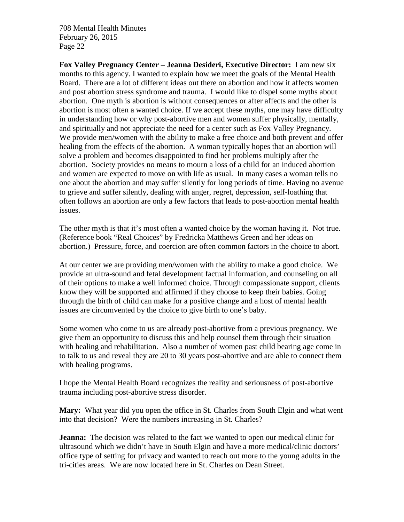**Fox Valley Pregnancy Center – Jeanna Desideri, Executive Director:** I am new six months to this agency. I wanted to explain how we meet the goals of the Mental Health Board. There are a lot of different ideas out there on abortion and how it affects women and post abortion stress syndrome and trauma. I would like to dispel some myths about abortion. One myth is abortion is without consequences or after affects and the other is abortion is most often a wanted choice. If we accept these myths, one may have difficulty in understanding how or why post-abortive men and women suffer physically, mentally, and spiritually and not appreciate the need for a center such as Fox Valley Pregnancy. We provide men/women with the ability to make a free choice and both prevent and offer healing from the effects of the abortion. A woman typically hopes that an abortion will solve a problem and becomes disappointed to find her problems multiply after the abortion. Society provides no means to mourn a loss of a child for an induced abortion and women are expected to move on with life as usual. In many cases a woman tells no one about the abortion and may suffer silently for long periods of time. Having no avenue to grieve and suffer silently, dealing with anger, regret, depression, self-loathing that often follows an abortion are only a few factors that leads to post-abortion mental health issues.

The other myth is that it's most often a wanted choice by the woman having it. Not true. (Reference book "Real Choices" by Fredricka Matthews Green and her ideas on abortion.) Pressure, force, and coercion are often common factors in the choice to abort.

At our center we are providing men/women with the ability to make a good choice. We provide an ultra-sound and fetal development factual information, and counseling on all of their options to make a well informed choice. Through compassionate support, clients know they will be supported and affirmed if they choose to keep their babies. Going through the birth of child can make for a positive change and a host of mental health issues are circumvented by the choice to give birth to one's baby.

Some women who come to us are already post-abortive from a previous pregnancy. We give them an opportunity to discuss this and help counsel them through their situation with healing and rehabilitation. Also a number of women past child bearing age come in to talk to us and reveal they are 20 to 30 years post-abortive and are able to connect them with healing programs.

I hope the Mental Health Board recognizes the reality and seriousness of post-abortive trauma including post-abortive stress disorder.

**Mary:** What year did you open the office in St. Charles from South Elgin and what went into that decision? Were the numbers increasing in St. Charles?

**Jeanna:** The decision was related to the fact we wanted to open our medical clinic for ultrasound which we didn't have in South Elgin and have a more medical/clinic doctors' office type of setting for privacy and wanted to reach out more to the young adults in the tri-cities areas. We are now located here in St. Charles on Dean Street.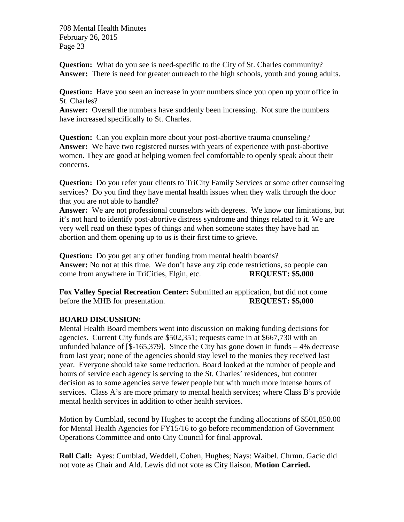**Question:** What do you see is need-specific to the City of St. Charles community? **Answer:** There is need for greater outreach to the high schools, youth and young adults.

**Question:** Have you seen an increase in your numbers since you open up your office in St. Charles?

**Answer:** Overall the numbers have suddenly been increasing. Not sure the numbers have increased specifically to St. Charles.

**Question:** Can you explain more about your post-abortive trauma counseling? **Answer:** We have two registered nurses with years of experience with post-abortive women. They are good at helping women feel comfortable to openly speak about their concerns.

**Question:** Do you refer your clients to TriCity Family Services or some other counseling services? Do you find they have mental health issues when they walk through the door that you are not able to handle?

**Answer:** We are not professional counselors with degrees. We know our limitations, but it's not hard to identify post-abortive distress syndrome and things related to it. We are very well read on these types of things and when someone states they have had an abortion and them opening up to us is their first time to grieve.

**Question:** Do you get any other funding from mental health boards? **Answer:** No not at this time. We don't have any zip code restrictions, so people can come from anywhere in TriCities, Elgin, etc. **REQUEST: \$5,000**

**Fox Valley Special Recreation Center:** Submitted an application, but did not come before the MHB for presentation. **REQUEST: \$5,000** 

# **BOARD DISCUSSION:**

Mental Health Board members went into discussion on making funding decisions for agencies. Current City funds are \$502,351; requests came in at \$667,730 with an unfunded balance of  $\lceil $-165,379\rceil$ . Since the City has gone down in funds  $-4\%$  decrease from last year; none of the agencies should stay level to the monies they received last year. Everyone should take some reduction. Board looked at the number of people and hours of service each agency is serving to the St. Charles' residences, but counter decision as to some agencies serve fewer people but with much more intense hours of services. Class A's are more primary to mental health services; where Class B's provide mental health services in addition to other health services.

Motion by Cumblad, second by Hughes to accept the funding allocations of \$501,850.00 for Mental Health Agencies for FY15/16 to go before recommendation of Government Operations Committee and onto City Council for final approval.

**Roll Call:** Ayes: Cumblad, Weddell, Cohen, Hughes; Nays: Waibel. Chrmn. Gacic did not vote as Chair and Ald. Lewis did not vote as City liaison. **Motion Carried.**